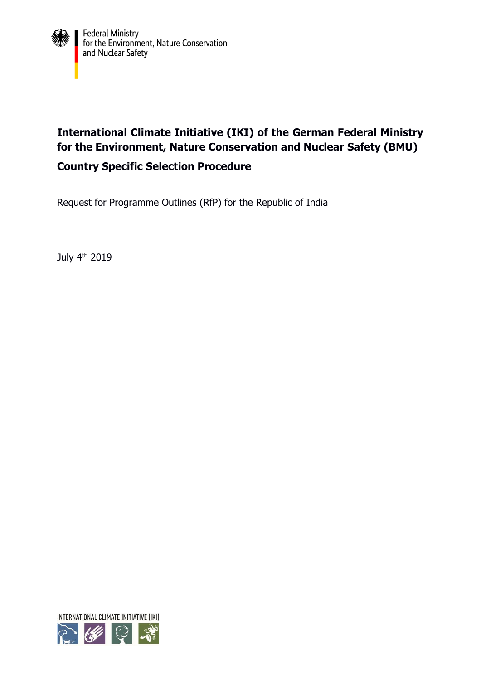

# **International Climate Initiative (IKI) of the German Federal Ministry for the Environment, Nature Conservation and Nuclear Safety (BMU) Country Specific Selection Procedure**

Request for Programme Outlines (RfP) for the Republic of India

July 4<sup>th</sup> 2019

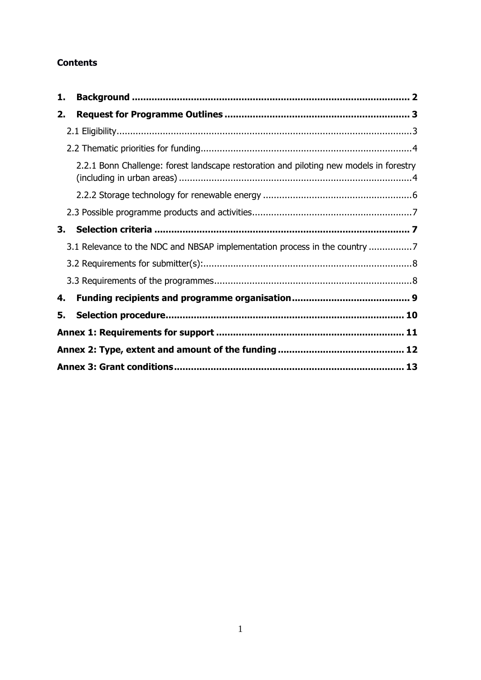## **Contents**

| 1. |                                                                                        |  |
|----|----------------------------------------------------------------------------------------|--|
| 2. |                                                                                        |  |
|    |                                                                                        |  |
|    |                                                                                        |  |
|    | 2.2.1 Bonn Challenge: forest landscape restoration and piloting new models in forestry |  |
|    |                                                                                        |  |
|    |                                                                                        |  |
| 3. |                                                                                        |  |
|    | 3.1 Relevance to the NDC and NBSAP implementation process in the country               |  |
|    |                                                                                        |  |
|    |                                                                                        |  |
| 4. |                                                                                        |  |
| 5. |                                                                                        |  |
|    |                                                                                        |  |
|    |                                                                                        |  |
|    |                                                                                        |  |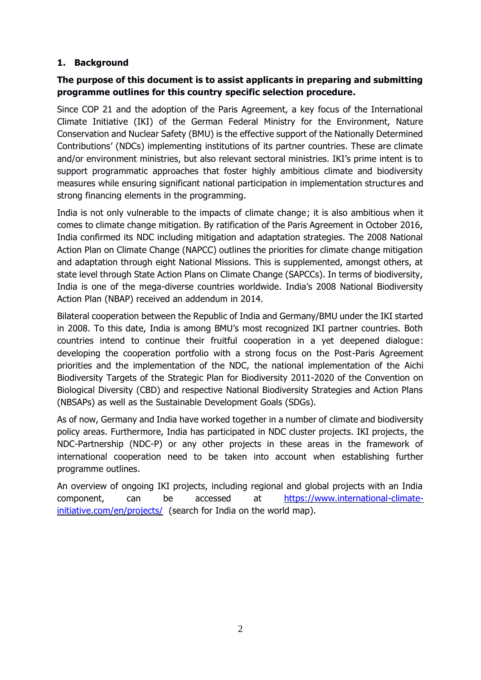## <span id="page-2-0"></span>**1. Background**

# **The purpose of this document is to assist applicants in preparing and submitting programme outlines for this country specific selection procedure.**

Since COP 21 and the adoption of the Paris Agreement, a key focus of the International Climate Initiative (IKI) of the German Federal Ministry for the Environment, Nature Conservation and Nuclear Safety (BMU) is the effective support of the Nationally Determined Contributions' (NDCs) implementing institutions of its partner countries. These are climate and/or environment ministries, but also relevant sectoral ministries. IKI's prime intent is to support programmatic approaches that foster highly ambitious climate and biodiversity measures while ensuring significant national participation in implementation structures and strong financing elements in the programming.

India is not only vulnerable to the impacts of climate change; it is also ambitious when it comes to climate change mitigation. By ratification of the Paris Agreement in October 2016, India confirmed its NDC including mitigation and adaptation strategies. The 2008 National Action Plan on Climate Change (NAPCC) outlines the priorities for climate change mitigation and adaptation through eight National Missions. This is supplemented, amongst others, at state level through State Action Plans on Climate Change (SAPCCs). In terms of biodiversity, India is one of the mega-diverse countries worldwide. India's 2008 National Biodiversity Action Plan (NBAP) received an addendum in 2014.

Bilateral cooperation between the Republic of India and Germany/BMU under the IKI started in 2008. To this date, India is among BMU's most recognized IKI partner countries. Both countries intend to continue their fruitful cooperation in a yet deepened dialogue: developing the cooperation portfolio with a strong focus on the Post-Paris Agreement priorities and the implementation of the NDC, the national implementation of the Aichi Biodiversity Targets of the Strategic Plan for Biodiversity 2011-2020 of the Convention on Biological Diversity (CBD) and respective National Biodiversity Strategies and Action Plans (NBSAPs) as well as the Sustainable Development Goals (SDGs).

As of now, Germany and India have worked together in a number of climate and biodiversity policy areas. Furthermore, India has participated in NDC cluster projects. IKI projects, the NDC-Partnership (NDC-P) or any other projects in these areas in the framework of international cooperation need to be taken into account when establishing further programme outlines.

An overview of ongoing IKI projects, including regional and global projects with an India component, can be accessed at [https://www.international-climate](https://www.international-climate-initiative.com/en/projects/)[initiative.com/en/projects/](https://www.international-climate-initiative.com/en/projects/) (search for India on the world map).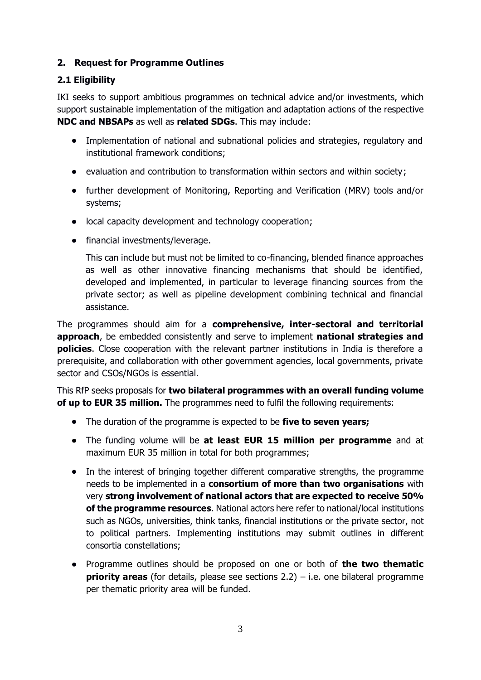## <span id="page-3-0"></span>**2. Request for Programme Outlines**

## <span id="page-3-1"></span>**2.1 Eligibility**

IKI seeks to support ambitious programmes on technical advice and/or investments, which support sustainable implementation of the mitigation and adaptation actions of the respective **NDC and NBSAPs** as well as **related SDGs**. This may include:

- Implementation of national and subnational policies and strategies, regulatory and institutional framework conditions;
- evaluation and contribution to transformation within sectors and within society;
- further development of Monitoring, Reporting and Verification (MRV) tools and/or systems;
- local capacity development and technology cooperation;
- financial investments/leverage.

This can include but must not be limited to co-financing, blended finance approaches as well as other innovative financing mechanisms that should be identified, developed and implemented, in particular to leverage financing sources from the private sector; as well as pipeline development combining technical and financial assistance.

The programmes should aim for a **comprehensive, inter-sectoral and territorial approach**, be embedded consistently and serve to implement **national strategies and policies**. Close cooperation with the relevant partner institutions in India is therefore a prerequisite, and collaboration with other government agencies, local governments, private sector and CSOs/NGOs is essential.

This RfP seeks proposals for **two bilateral programmes with an overall funding volume of up to EUR 35 million.** The programmes need to fulfil the following requirements:

- The duration of the programme is expected to be **five to seven years;**
- The funding volume will be **at least EUR 15 million per programme** and at maximum EUR 35 million in total for both programmes;
- In the interest of bringing together different comparative strengths, the programme needs to be implemented in a **consortium of more than two organisations** with very **strong involvement of national actors that are expected to receive 50% of the programme resources**. National actors here refer to national/local institutions such as NGOs, universities, think tanks, financial institutions or the private sector, not to political partners. Implementing institutions may submit outlines in different consortia constellations;
- Programme outlines should be proposed on one or both of **the two thematic priority areas** (for details, please see sections 2.2) – i.e. one bilateral programme per thematic priority area will be funded.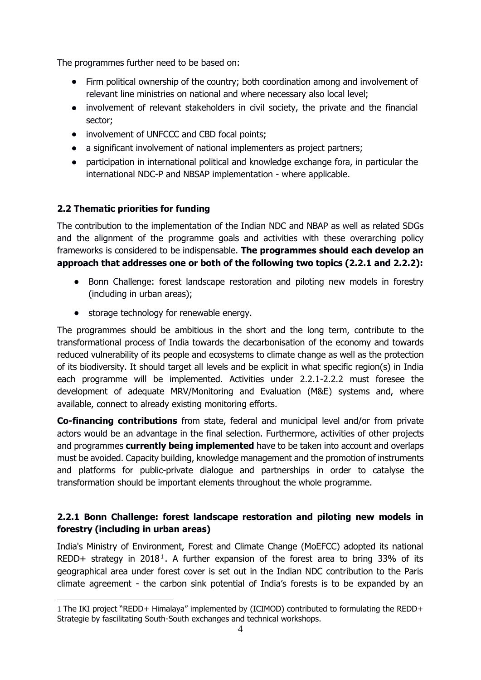The programmes further need to be based on:

- Firm political ownership of the country; both coordination among and involvement of relevant line ministries on national and where necessary also local level;
- involvement of relevant stakeholders in civil society, the private and the financial sector;
- involvement of UNFCCC and CBD focal points;
- a significant involvement of national implementers as project partners;
- participation in international political and knowledge exchange fora, in particular the international NDC-P and NBSAP implementation - where applicable.

# <span id="page-4-0"></span>**2.2 Thematic priorities for funding**

1

The contribution to the implementation of the Indian NDC and NBAP as well as related SDGs and the alignment of the programme goals and activities with these overarching policy frameworks is considered to be indispensable. **The programmes should each develop an approach that addresses one or both of the following two topics (2.2.1 and 2.2.2):**

- Bonn Challenge: forest landscape restoration and piloting new models in forestry (including in urban areas);
- storage technology for renewable energy.

The programmes should be ambitious in the short and the long term, contribute to the transformational process of India towards the decarbonisation of the economy and towards reduced vulnerability of its people and ecosystems to climate change as well as the protection of its biodiversity. It should target all levels and be explicit in what specific region(s) in India each programme will be implemented. Activities under 2.2.1-2.2.2 must foresee the development of adequate MRV/Monitoring and Evaluation (M&E) systems and, where available, connect to already existing monitoring efforts.

**Co-financing contributions** from state, federal and municipal level and/or from private actors would be an advantage in the final selection. Furthermore, activities of other projects and programmes **currently being implemented** have to be taken into account and overlaps must be avoided. Capacity building, knowledge management and the promotion of instruments and platforms for public-private dialogue and partnerships in order to catalyse the transformation should be important elements throughout the whole programme.

# <span id="page-4-1"></span>**2.2.1 Bonn Challenge: forest landscape restoration and piloting new models in forestry (including in urban areas)**

India's Ministry of Environment, Forest and Climate Change (MoEFCC) adopted its national REDD+ strategy in 2018<sup>1</sup>. A further expansion of the forest area to bring 33% of its geographical area under forest cover is set out in the Indian NDC contribution to the Paris climate agreement - the carbon sink potential of India's forests is to be expanded by an

<sup>1</sup> The IKI project "REDD+ Himalaya" implemented by (ICIMOD) contributed to formulating the REDD+ Strategie by fascilitating South-South exchanges and technical workshops.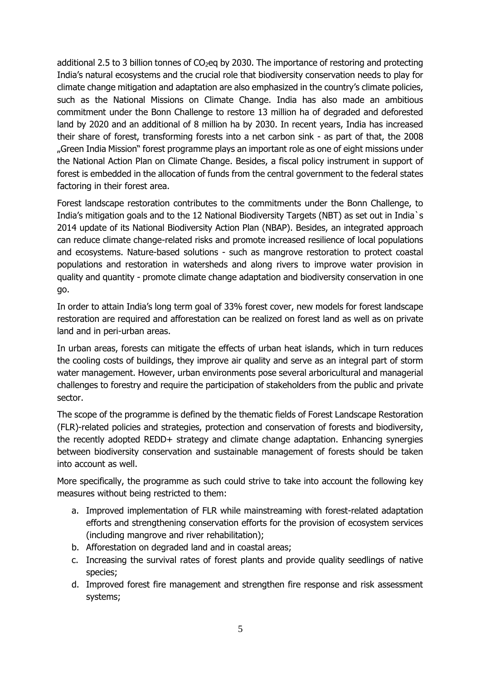additional 2.5 to 3 billion tonnes of  $CO<sub>2</sub>$ eq by 2030. The importance of restoring and protecting India's natural ecosystems and the crucial role that biodiversity conservation needs to play for climate change mitigation and adaptation are also emphasized in the country's climate policies, such as the National Missions on Climate Change. India has also made an ambitious commitment under the Bonn Challenge to restore 13 million ha of degraded and deforested land by 2020 and an additional of 8 million ha by 2030. In recent years, India has increased their share of forest, transforming forests into a net carbon sink - as part of that, the 2008 "Green India Mission" forest programme plays an important role as one of eight missions under the National Action Plan on Climate Change. Besides, a fiscal policy instrument in support of forest is embedded in the allocation of funds from the central government to the federal states factoring in their forest area.

Forest landscape restoration contributes to the commitments under the Bonn Challenge, to India's mitigation goals and to the 12 National Biodiversity Targets (NBT) as set out in India`s 2014 update of its National Biodiversity Action Plan (NBAP). Besides, an integrated approach can reduce climate change-related risks and promote increased resilience of local populations and ecosystems. Nature-based solutions - such as mangrove restoration to protect coastal populations and restoration in watersheds and along rivers to improve water provision in quality and quantity - promote climate change adaptation and biodiversity conservation in one go.

In order to attain India's long term goal of 33% forest cover, new models for forest landscape restoration are required and afforestation can be realized on forest land as well as on private land and in peri-urban areas.

In urban areas, forests can mitigate the effects of urban heat islands, which in turn reduces the cooling costs of buildings, they improve air quality and serve as an integral part of storm water management. However, urban environments pose several arboricultural and managerial challenges to forestry and require the participation of stakeholders from the public and private sector.

The scope of the programme is defined by the thematic fields of Forest Landscape Restoration (FLR)-related policies and strategies, protection and conservation of forests and biodiversity, the recently adopted REDD+ strategy and climate change adaptation. Enhancing synergies between biodiversity conservation and sustainable management of forests should be taken into account as well.

More specifically, the programme as such could strive to take into account the following key measures without being restricted to them:

- a. Improved implementation of FLR while mainstreaming with forest-related adaptation efforts and strengthening conservation efforts for the provision of ecosystem services (including mangrove and river rehabilitation);
- b. Afforestation on degraded land and in coastal areas;
- c. Increasing the survival rates of forest plants and provide quality seedlings of native species;
- d. Improved forest fire management and strengthen fire response and risk assessment systems;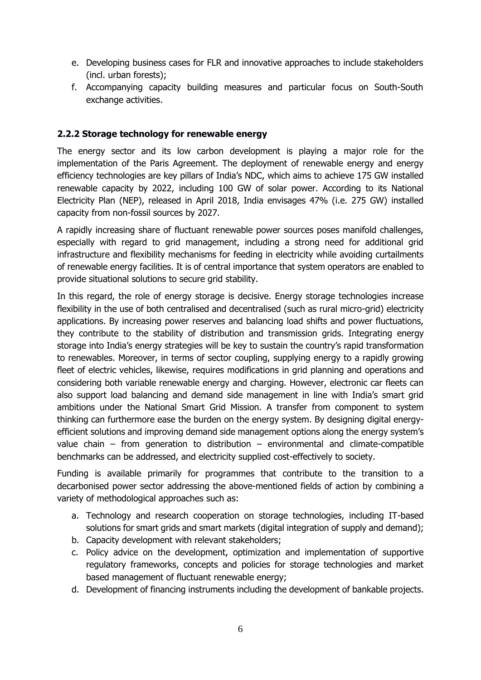- e. Developing business cases for FLR and innovative approaches to include stakeholders (incl. urban forests);
- f. Accompanying capacity building measures and particular focus on South-South exchange activities.

#### <span id="page-6-0"></span>**2.2.2 Storage technology for renewable energy**

The energy sector and its low carbon development is playing a major role for the implementation of the Paris Agreement. The deployment of renewable energy and energy efficiency technologies are key pillars of India's NDC, which aims to achieve 175 GW installed renewable capacity by 2022, including 100 GW of solar power. According to its National Electricity Plan (NEP), released in April 2018, India envisages 47% (i.e. 275 GW) installed capacity from non-fossil sources by 2027.

A rapidly increasing share of fluctuant renewable power sources poses manifold challenges, especially with regard to grid management, including a strong need for additional grid infrastructure and flexibility mechanisms for feeding in electricity while avoiding curtailments of renewable energy facilities. It is of central importance that system operators are enabled to provide situational solutions to secure grid stability.

In this regard, the role of energy storage is decisive. Energy storage technologies increase flexibility in the use of both centralised and decentralised (such as rural micro-grid) electricity applications. By increasing power reserves and balancing load shifts and power fluctuations, they contribute to the stability of distribution and transmission grids. Integrating energy storage into India's energy strategies will be key to sustain the country's rapid transformation to renewables. Moreover, in terms of sector coupling, supplying energy to a rapidly growing fleet of electric vehicles, likewise, requires modifications in grid planning and operations and considering both variable renewable energy and charging. However, electronic car fleets can also support load balancing and demand side management in line with India's smart grid ambitions under the National Smart Grid Mission. A transfer from component to system thinking can furthermore ease the burden on the energy system. By designing digital energyefficient solutions and improving demand side management options along the energy system's value chain – from generation to distribution – environmental and climate-compatible benchmarks can be addressed, and electricity supplied cost-effectively to society.

Funding is available primarily for programmes that contribute to the transition to a decarbonised power sector addressing the above-mentioned fields of action by combining a variety of methodological approaches such as:

- a. Technology and research cooperation on storage technologies, including IT-based solutions for smart grids and smart markets (digital integration of supply and demand);
- b. Capacity development with relevant stakeholders;
- c. Policy advice on the development, optimization and implementation of supportive regulatory frameworks, concepts and policies for storage technologies and market based management of fluctuant renewable energy;
- d. Development of financing instruments including the development of bankable projects.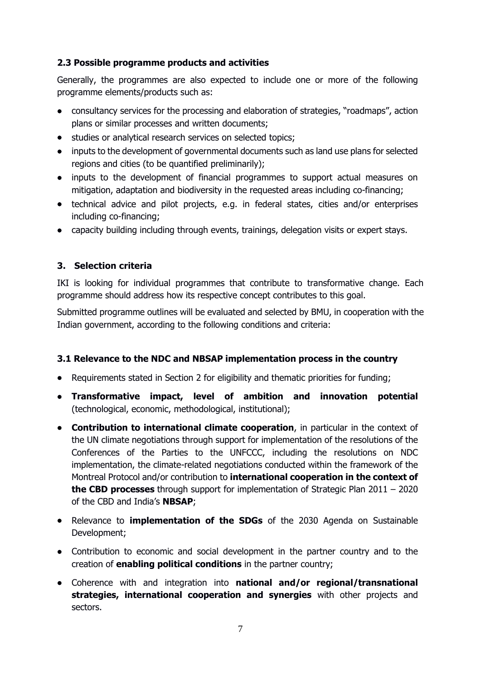## <span id="page-7-0"></span>**2.3 Possible programme products and activities**

Generally, the programmes are also expected to include one or more of the following programme elements/products such as:

- consultancy services for the processing and elaboration of strategies, "roadmaps", action plans or similar processes and written documents;
- **•** studies or analytical research services on selected topics;
- inputs to the development of governmental documents such as land use plans for selected regions and cities (to be quantified preliminarily);
- inputs to the development of financial programmes to support actual measures on mitigation, adaptation and biodiversity in the requested areas including co-financing;
- technical advice and pilot projects, e.g. in federal states, cities and/or enterprises including co-financing;
- capacity building including through events, trainings, delegation visits or expert stays.

## <span id="page-7-1"></span>**3. Selection criteria**

IKI is looking for individual programmes that contribute to transformative change. Each programme should address how its respective concept contributes to this goal.

Submitted programme outlines will be evaluated and selected by BMU, in cooperation with the Indian government, according to the following conditions and criteria:

#### <span id="page-7-2"></span>**3.1 Relevance to the NDC and NBSAP implementation process in the country**

- Requirements stated in Section 2 for eligibility and thematic priorities for funding;
- **Transformative impact, level of ambition and innovation potential** (technological, economic, methodological, institutional);
- **Contribution to international climate cooperation**, in particular in the context of the UN climate negotiations through support for implementation of the resolutions of the Conferences of the Parties to the UNFCCC, including the resolutions on NDC implementation, the climate-related negotiations conducted within the framework of the Montreal Protocol and/or contribution to **international cooperation in the context of the CBD processes** through support for implementation of Strategic Plan 2011 – 2020 of the CBD and India's **NBSAP**;
- Relevance to **implementation of the SDGs** of the 2030 Agenda on Sustainable Development;
- Contribution to economic and social development in the partner country and to the creation of **enabling political conditions** in the partner country;
- Coherence with and integration into **national and/or regional/transnational strategies, international cooperation and synergies** with other projects and sectors.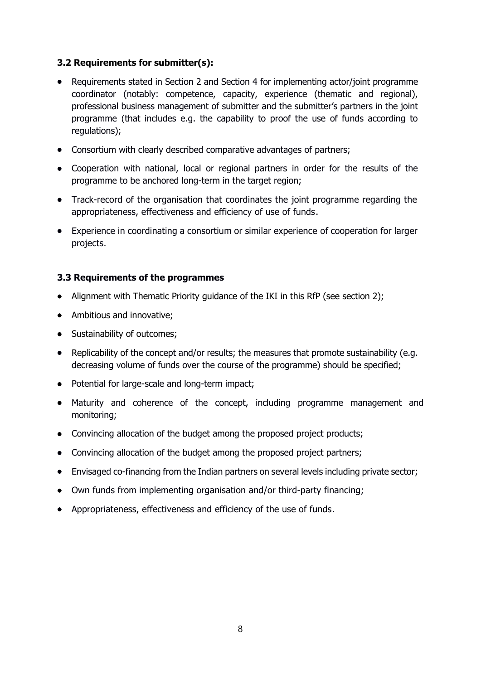#### <span id="page-8-0"></span>**3.2 Requirements for submitter(s):**

- Requirements stated in Section 2 and Section 4 for implementing actor/joint programme coordinator (notably: competence, capacity, experience (thematic and regional), professional business management of submitter and the submitter's partners in the joint programme (that includes e.g. the capability to proof the use of funds according to regulations);
- Consortium with clearly described comparative advantages of partners;
- Cooperation with national, local or regional partners in order for the results of the programme to be anchored long-term in the target region;
- Track-record of the organisation that coordinates the joint programme regarding the appropriateness, effectiveness and efficiency of use of funds.
- Experience in coordinating a consortium or similar experience of cooperation for larger projects.

#### <span id="page-8-1"></span>**3.3 Requirements of the programmes**

- Alignment with Thematic Priority guidance of the IKI in this RfP (see section 2);
- Ambitious and innovative;
- Sustainability of outcomes;
- Replicability of the concept and/or results; the measures that promote sustainability (e.g. decreasing volume of funds over the course of the programme) should be specified;
- Potential for large-scale and long-term impact;
- Maturity and coherence of the concept, including programme management and monitoring;
- Convincing allocation of the budget among the proposed project products;
- Convincing allocation of the budget among the proposed project partners;
- Envisaged co-financing from the Indian partners on several levels including private sector;
- Own funds from implementing organisation and/or third-party financing;
- Appropriateness, effectiveness and efficiency of the use of funds.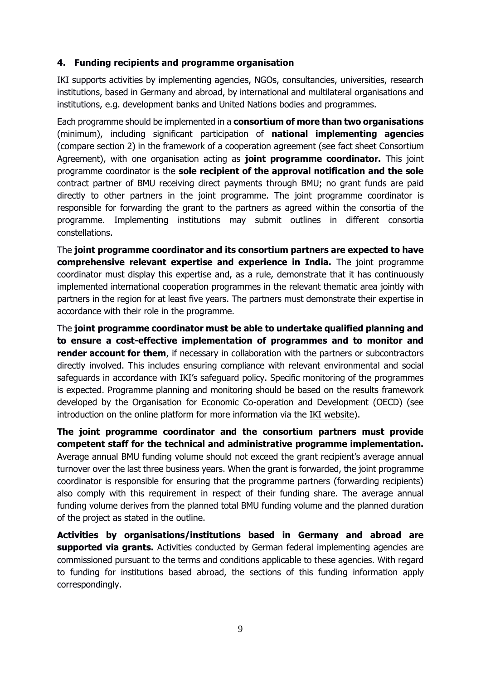#### <span id="page-9-0"></span>**4. Funding recipients and programme organisation**

IKI supports activities by implementing agencies, NGOs, consultancies, universities, research institutions, based in Germany and abroad, by international and multilateral organisations and institutions, e.g. development banks and United Nations bodies and programmes.

Each programme should be implemented in a **consortium of more than two organisations** (minimum), including significant participation of **national implementing agencies** (compare section 2) in the framework of a cooperation agreement (see fact sheet Consortium Agreement), with one organisation acting as **joint programme coordinator.** This joint programme coordinator is the **sole recipient of the approval notification and the sole** contract partner of BMU receiving direct payments through BMU; no grant funds are paid directly to other partners in the joint programme. The joint programme coordinator is responsible for forwarding the grant to the partners as agreed within the consortia of the programme. Implementing institutions may submit outlines in different consortia constellations.

The **joint programme coordinator and its consortium partners are expected to have comprehensive relevant expertise and experience in India.** The joint programme coordinator must display this expertise and, as a rule, demonstrate that it has continuously implemented international cooperation programmes in the relevant thematic area jointly with partners in the region for at least five years. The partners must demonstrate their expertise in accordance with their role in the programme.

The **joint programme coordinator must be able to undertake qualified planning and to ensure a cost-effective implementation of programmes and to monitor and render account for them**, if necessary in collaboration with the partners or subcontractors directly involved. This includes ensuring compliance with relevant environmental and social safeguards in accordance with IKI's safeguard policy. Specific monitoring of the programmes is expected. Programme planning and monitoring should be based on the results framework developed by the Organisation for Economic Co-operation and Development (OECD) (see introduction on the online platform for more information via the **IKI** website).

**The joint programme coordinator and the consortium partners must provide competent staff for the technical and administrative programme implementation.** Average annual BMU funding volume should not exceed the grant recipient's average annual turnover over the last three business years. When the grant is forwarded, the joint programme coordinator is responsible for ensuring that the programme partners (forwarding recipients) also comply with this requirement in respect of their funding share. The average annual funding volume derives from the planned total BMU funding volume and the planned duration of the project as stated in the outline.

**Activities by organisations/institutions based in Germany and abroad are supported via grants.** Activities conducted by German federal implementing agencies are commissioned pursuant to the terms and conditions applicable to these agencies. With regard to funding for institutions based abroad, the sections of this funding information apply correspondingly.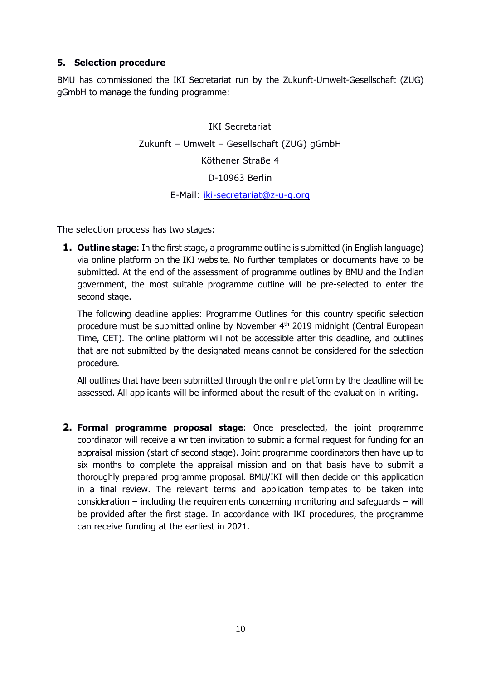## <span id="page-10-0"></span>**5. Selection procedure**

BMU has commissioned the IKI Secretariat run by the Zukunft-Umwelt-Gesellschaft (ZUG) gGmbH to manage the funding programme:

> IKI Secretariat Zukunft – Umwelt – Gesellschaft (ZUG) gGmbH Köthener Straße 4 D-10963 Berlin E-Mail: [iki-secretariat@z-u-g.org](mailto:iki-secretariat@z-u-g.org)

The selection process has two stages:

**1. Outline stage**: In the first stage, a programme outline is submitted (in English language) via online platform on the IKI website. No further templates or documents have to be submitted. At the end of the assessment of programme outlines by BMU and the Indian government, the most suitable programme outline will be pre-selected to enter the second stage.

The following deadline applies: Programme Outlines for this country specific selection procedure must be submitted online by November 4<sup>th</sup> 2019 midnight (Central European Time, CET). The online platform will not be accessible after this deadline, and outlines that are not submitted by the designated means cannot be considered for the selection procedure.

All outlines that have been submitted through the online platform by the deadline will be assessed. All applicants will be informed about the result of the evaluation in writing.

**2. Formal programme proposal stage**: Once preselected, the joint programme coordinator will receive a written invitation to submit a formal request for funding for an appraisal mission (start of second stage). Joint programme coordinators then have up to six months to complete the appraisal mission and on that basis have to submit a thoroughly prepared programme proposal. BMU/IKI will then decide on this application in a final review. The relevant terms and application templates to be taken into consideration – including the requirements concerning monitoring and safeguards – will be provided after the first stage. In accordance with IKI procedures, the programme can receive funding at the earliest in 2021.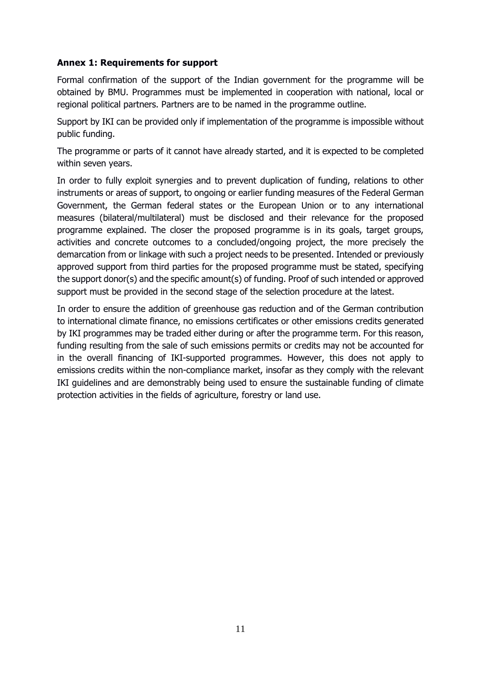#### <span id="page-11-0"></span>**Annex 1: Requirements for support**

Formal confirmation of the support of the Indian government for the programme will be obtained by BMU. Programmes must be implemented in cooperation with national, local or regional political partners. Partners are to be named in the programme outline.

Support by IKI can be provided only if implementation of the programme is impossible without public funding.

The programme or parts of it cannot have already started, and it is expected to be completed within seven years.

In order to fully exploit synergies and to prevent duplication of funding, relations to other instruments or areas of support, to ongoing or earlier funding measures of the Federal German Government, the German federal states or the European Union or to any international measures (bilateral/multilateral) must be disclosed and their relevance for the proposed programme explained. The closer the proposed programme is in its goals, target groups, activities and concrete outcomes to a concluded/ongoing project, the more precisely the demarcation from or linkage with such a project needs to be presented. Intended or previously approved support from third parties for the proposed programme must be stated, specifying the support donor(s) and the specific amount(s) of funding. Proof of such intended or approved support must be provided in the second stage of the selection procedure at the latest.

<span id="page-11-1"></span>In order to ensure the addition of greenhouse gas reduction and of the German contribution to international climate finance, no emissions certificates or other emissions credits generated by IKI programmes may be traded either during or after the programme term. For this reason, funding resulting from the sale of such emissions permits or credits may not be accounted for in the overall financing of IKI-supported programmes. However, this does not apply to emissions credits within the non-compliance market, insofar as they comply with the relevant IKI guidelines and are demonstrably being used to ensure the sustainable funding of climate protection activities in the fields of agriculture, forestry or land use.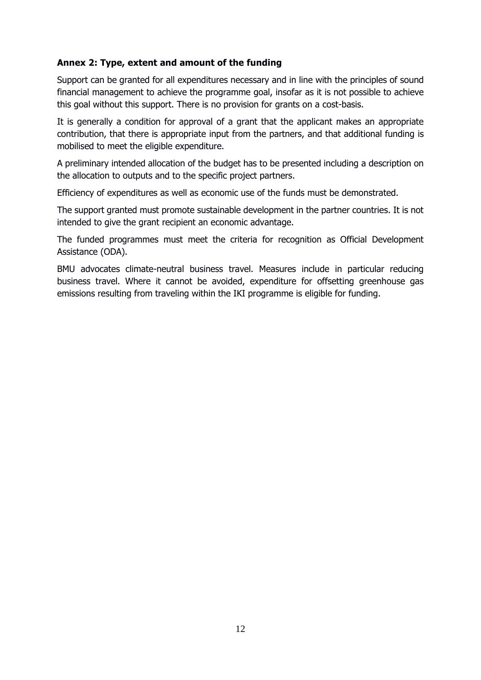### **Annex 2: Type, extent and amount of the funding**

Support can be granted for all expenditures necessary and in line with the principles of sound financial management to achieve the programme goal, insofar as it is not possible to achieve this goal without this support. There is no provision for grants on a cost-basis.

It is generally a condition for approval of a grant that the applicant makes an appropriate contribution, that there is appropriate input from the partners, and that additional funding is mobilised to meet the eligible expenditure.

A preliminary intended allocation of the budget has to be presented including a description on the allocation to outputs and to the specific project partners.

Efficiency of expenditures as well as economic use of the funds must be demonstrated.

The support granted must promote sustainable development in the partner countries. It is not intended to give the grant recipient an economic advantage.

The funded programmes must meet the criteria for recognition as Official Development Assistance (ODA).

BMU advocates climate-neutral business travel. Measures include in particular reducing business travel. Where it cannot be avoided, expenditure for offsetting greenhouse gas emissions resulting from traveling within the IKI programme is eligible for funding.